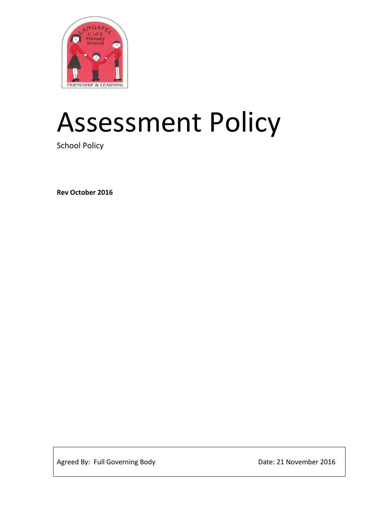

# Assessment Policy

School Policy

**Rev October 2016**

Agreed By: Full Governing Body discussed by Date: 21 November 2016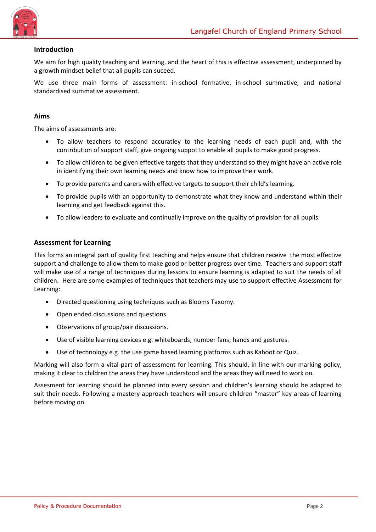

### **Introduction**

We aim for high quality teaching and learning, and the heart of this is effective assessment, underpinned by a growth mindset belief that all pupils can suceed.

We use three main forms of assessment: in-school formative, in-school summative, and national standardised summative assessment.

#### **Aims**

The aims of assessments are:

- To allow teachers to respond accuratley to the learning needs of each pupil and, with the contribution of support staff, give ongoing suppot to enable all pupils to make good progress.
- To allow children to be given effective targets that they understand so they might have an active role in identifying their own learning needs and know how to improve their work.
- To provide parents and carers with effective targets to support their child's learning.
- To provide pupils with an opportunity to demonstrate what they know and understand within their learning and get feedback against this.
- To allow leaders to evaluate and continually improve on the quality of provision for all pupils.

### **Assessment for Learning**

This forms an integral part of quality first teaching and helps ensure that children receive the most effective support and challenge to allow them to make good or better progress over time. Teachers and support staff will make use of a range of techniques during lessons to ensure learning is adapted to suit the needs of all children. Here are some examples of techniques that teachers may use to support effective Assessment for Learning:

- Directed questioning using techniques such as Blooms Taxomy.
- Open ended discussions and questions.
- Observations of group/pair discussions.
- Use of visible learning devices e.g. whiteboards; number fans; hands and gestures.
- Use of technology e.g. the use game based learning platforms such as Kahoot or Quiz.

Marking will also form a vital part of assessment for learning. This should, in line with our marking policy, making it clear to children the areas they have understood and the areas they will need to work on.

Assesment for learning should be planned into every session and children's learning should be adapted to suit their needs. Following a mastery approach teachers will ensure children "master" key areas of learning before moving on.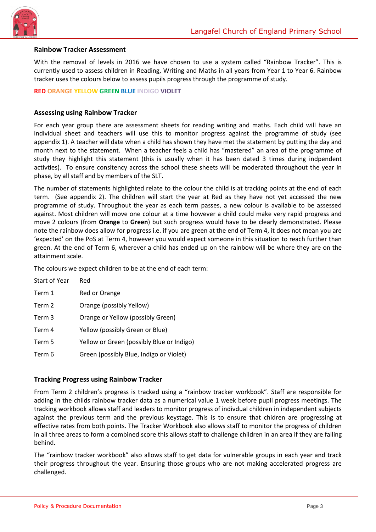

#### **Rainbow Tracker Assessment**

With the removal of levels in 2016 we have chosen to use a system called "Rainbow Tracker". This is currently used to assess children in Reading, Writing and Maths in all years from Year 1 to Year 6. Rainbow tracker uses the colours below to assess pupils progress through the programme of study.

#### **RED ORANGE YELLOW GREEN BLUE INDIGO VIOLET**

#### **Assessing using Rainbow Tracker**

For each year group there are assessment sheets for reading writing and maths. Each child will have an individual sheet and teachers will use this to monitor progress against the programme of study (see appendix 1). A teacher will date when a child has shown they have met the statement by putting the day and month next to the statement. When a teacher feels a child has "mastered" an area of the programme of study they highlight this statement (this is usually when it has been dated 3 times during indpendent activties). To ensure consitency across the school these sheets will be moderated throughout the year in phase, by all staff and by members of the SLT.

The number of statements highlighted relate to the colour the child is at tracking points at the end of each term. (See appendix 2). The children will start the year at Red as they have not yet accessed the new programme of study. Throughout the year as each term passes, a new colour is available to be assessed against. Most children will move one colour at a time however a child could make very rapid progress and move 2 colours (from **Orange** to **Green**) but such progress would have to be clearly demonstrated. Please note the rainbow does allow for progress i.e. if you are green at the end of Term 4, it does not mean you are 'expected' on the PoS at Term 4, however you would expect someone in this situation to reach further than green. At the end of Term 6, wherever a child has ended up on the rainbow will be where they are on the attainment scale.

The colours we expect children to be at the end of each term:

| <b>Start of Year</b> | Red                                       |
|----------------------|-------------------------------------------|
| Term 1               | Red or Orange                             |
| Term 2               | Orange (possibly Yellow)                  |
| Term 3               | Orange or Yellow (possibly Green)         |
| Term 4               | Yellow (possibly Green or Blue)           |
| Term 5               | Yellow or Green (possibly Blue or Indigo) |
| Term 6               | Green (possibly Blue, Indigo or Violet)   |

#### **Tracking Progress using Rainbow Tracker**

From Term 2 children's progress is tracked using a "rainbow tracker workbook". Staff are responsible for adding in the childs rainbow tracker data as a numerical value 1 week before pupil progress meetings. The tracking workbook allows staff and leaders to monitor progress of indivdual children in independent subjects against the previous term and the previous keystage. This is to ensure that chidren are progressing at effective rates from both points. The Tracker Workbook also allows staff to monitor the progress of children in all three areas to form a combined score this allows staff to challenge children in an area if they are falling behind.

The "rainbow tracker workbook" also allows staff to get data for vulnerable groups in each year and track their progress throughout the year. Ensuring those groups who are not making accelerated progress are challenged.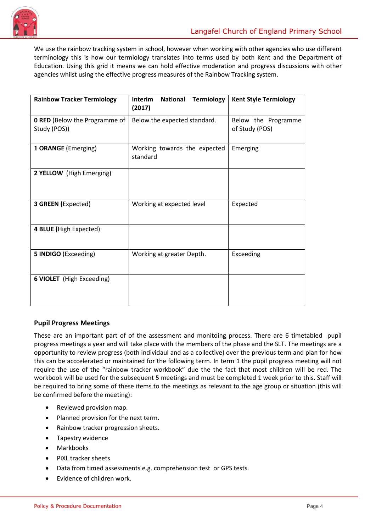

We use the rainbow tracking system in school, however when working with other agencies who use different terminology this is how our termiology translates into terms used by both Kent and the Department of Education. Using this grid it means we can hold effective moderation and progress discussions with other agencies whilst using the effective progress measures of the Rainbow Tracking system.

| <b>Rainbow Tracker Termiology</b>                    | <b>National</b><br><b>Termiology</b><br><b>Interim</b><br>(2017) | <b>Kent Style Termiology</b>          |  |  |
|------------------------------------------------------|------------------------------------------------------------------|---------------------------------------|--|--|
| <b>O RED</b> (Below the Programme of<br>Study (POS)) | Below the expected standard.                                     | Below the Programme<br>of Study (POS) |  |  |
| 1 ORANGE (Emerging)                                  | Working towards the expected<br>standard                         | Emerging                              |  |  |
| 2 YELLOW (High Emerging)                             |                                                                  |                                       |  |  |
| <b>3 GREEN (Expected)</b>                            | Working at expected level                                        | Expected                              |  |  |
| 4 BLUE (High Expected)                               |                                                                  |                                       |  |  |
| 5 INDIGO (Exceeding)                                 | Working at greater Depth.                                        | Exceeding                             |  |  |
| <b>6 VIOLET</b> (High Exceeding)                     |                                                                  |                                       |  |  |

# **Pupil Progress Meetings**

These are an important part of of the assessment and monitoing process. There are 6 timetabled pupil progress meetings a year and will take place with the members of the phase and the SLT. The meetings are a opportunity to review progress (both individaul and as a collective) over the previous term and plan for how this can be acccelerated or maintained for the following term. In term 1 the pupil progress meeting will not require the use of the "rainbow tracker workbook" due the the fact that most children will be red. The workbook will be used for the subsequent 5 meetings and must be completed 1 week prior to this. Staff will be required to bring some of these items to the meetings as relevant to the age group or situation (this will be confirmed before the meeting):

- Reviewed provision map.
- Planned provision for the next term.
- Rainbow tracker progression sheets.
- Tapestry evidence
- Markbooks
- PiXL tracker sheets
- Data from timed assessments e.g. comprehension test or GPS tests.
- Evidence of children work.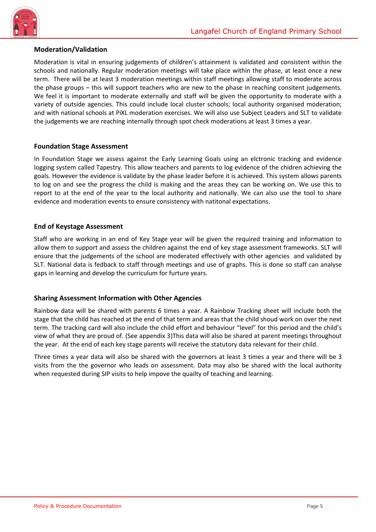

### **Moderation/Validation**

Moderation is vital in ensuring judgements of children's attainment is validated and consistent within the schools and nationally. Regular moderation meetings will take place within the phase, at least once a new term. There will be at least 3 moderation meetings within staff meetings allowing staff to moderate across the phase groups – this will support teachers who are new to the phase in reaching consitent judgements. We feel it is important to moderate externally and staff will be given the opportunity to moderate with a variety of outside agencies. This could include local cluster schools; local authority organised moderation; and with national schools at PiXL moderation exercises. We will also use Subject Leaders and SLT to validate the judgements we are reaching internally through spot check moderations at least 3 times a year.

### **Foundation Stage Assessment**

In Foundation Stage we assess against the Early Learning Goals using an elctronic tracking and evidence logging system called Tapestry. This allow teachers and parents to log evidence of the chidren achieving the goals. However the evidence is validate by the phase leader before it is achieved. This system allows parents to log on and see the progress the child is making and the areas they can be working on. We use this to report to at the end of the year to the local authority and nationally. We can also use the tool to share evidence and moderation events to ensure consistency with natitonal expectations.

### **End of Keystage Assessment**

Staff who are working in an end of Key Stage year will be given the required training and information to allow them to support and assess the children against the end of key stage assessment frameworks. SLT will ensure that the judgements of the school are moderated effectively with other agencies and validated by SLT. National data is fedback to staff through meetings and use of graphs. This is done so staff can analyse gaps in learning and develop the curriculum for furture years.

# **Sharing Assessment Information with Other Agencies**

Rainbow data will be shared with parents 6 times a year. A Rainbow Tracking sheet will include both the stage that the child has reached at the end of that term and areas that the child shoud work on over the next term. The tracking card will also include the child effort and behaviour "level" for this period and the child's view of what they are proud of. (See appendix 3)This data will also be shared at parent meetings throughout the year. At the end of each key stage parents will receive the statutory data relevant for their child.

Three times a year data will also be shared with the governors at least 3 times a year and there will be 3 visits from the the governor who leads on assessment. Data may also be shared with the local authority when requested during SIP visits to help impove the quailty of teaching and learning.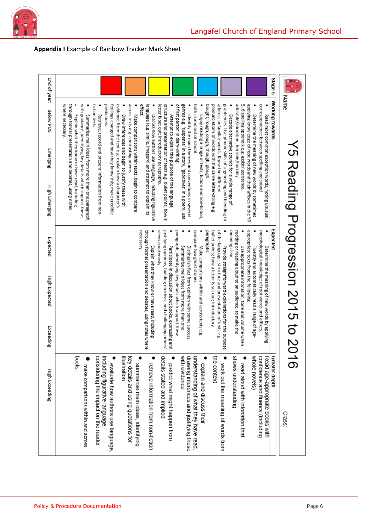

| End of year:<br>Below POS | Stage 5<br><b>Working towards</b><br>fiction texts.<br>predictions.<br>effect.<br>where necessary.                                                                                                                                                                                                                                                                                                                                                                                                                                                                                                                                                                                                                                                                                                                                                                                                                                                                                                                                                                                                                                                                                                                                                                                                                                                                                                                                                                                                                                                                                                                                                                                 | Name                              |
|---------------------------|------------------------------------------------------------------------------------------------------------------------------------------------------------------------------------------------------------------------------------------------------------------------------------------------------------------------------------------------------------------------------------------------------------------------------------------------------------------------------------------------------------------------------------------------------------------------------------------------------------------------------------------------------------------------------------------------------------------------------------------------------------------------------------------------------------------------------------------------------------------------------------------------------------------------------------------------------------------------------------------------------------------------------------------------------------------------------------------------------------------------------------------------------------------------------------------------------------------------------------------------------------------------------------------------------------------------------------------------------------------------------------------------------------------------------------------------------------------------------------------------------------------------------------------------------------------------------------------------------------------------------------------------------------------------------------|-----------------------------------|
| Emerging                  | graphemes. Use phonic skills of segmenting and blending to<br>adorable/adoration, horrible/horribly<br>applying knowledge of root words and their affixes in the YR<br>correspondence between spelling and sound<br>through formal presentation and debates, using notes<br>with guidance, identifying key details which support these.<br>feelings changed and how they know this; make credible<br>evidence from the text e.g. explain how a character's<br>across texts e.g. contrasting poems<br>language (e.g. simile, imagery) and attempt to explain its<br>structure and presentation of texts e.g. bullet points; how a<br>of first person in diary-writing.<br>genres e.g. 'suspense' in a story; 'goodbyes' in a poem; use<br>both in and out of school.<br>bought, rough, cough, though, plough.<br>pronunciations of words with the same letter-string e.g<br>address unfamiliar words. Know the different<br>5-6 spelling appendix e.g. assist/assistance,<br>letter is set out; introductory paragraphs.<br>Summarise main ideas from more than one paragraph,<br>Retrieve, record and present information from non-<br>Explain what they know or have read, including<br>Make comparisons within texts; begin to compare<br>Decode alternative sounds for a wide range of<br>Attempt to explain the purpose of the language<br>Read most common exception words, noting unusual<br>Draw inferences and begin to justify these with<br>Enjoy reading a range of texts, fiction and non-fiction,<br>Determine the meaning of new words by sometimes<br>Discuss how authors use language, including figurative<br>Identify the main themes and conventions in several |                                   |
| High Emerging             |                                                                                                                                                                                                                                                                                                                                                                                                                                                                                                                                                                                                                                                                                                                                                                                                                                                                                                                                                                                                                                                                                                                                                                                                                                                                                                                                                                                                                                                                                                                                                                                                                                                                                    |                                   |
| Expected                  | Expected<br>appropriate texts from the following<br>necessary.<br>compare two ghost stories<br>paragraphs.<br>meaning clear.<br>views courteously.                                                                                                                                                                                                                                                                                                                                                                                                                                                                                                                                                                                                                                                                                                                                                                                                                                                                                                                                                                                                                                                                                                                                                                                                                                                                                                                                                                                                                                                                                                                                 |                                   |
| High Expected             | through formal presentation and debates, using notes where<br>of the language, structure and presentation of texts e.g.<br>morphological knowledge of root words and affixes<br>justifying opinions, building on ideas, and challenging others'<br>paragraph, identifying key details which support these<br>bullet points; how a letter is set out; introductory<br>reciting or reading aloud to an audience, to make the<br>Summarise main ideas from more than one<br>Explain what they know or have read, including<br>Participate in discussion about books, expressing and<br>Make comparisons within and across texts e.g.<br>Provide straightforward explanations for the purpose<br>Fluently and automatically read a range of age-<br>Determine the meaning of new words by applying<br>Distinguish fact from opinion with some success<br>Use appropriate intonation, tone and volume when                                                                                                                                                                                                                                                                                                                                                                                                                                                                                                                                                                                                                                                                                                                                                                              | No Keading Progression 2015 to 20 |
| Exceeding                 |                                                                                                                                                                                                                                                                                                                                                                                                                                                                                                                                                                                                                                                                                                                                                                                                                                                                                                                                                                                                                                                                                                                                                                                                                                                                                                                                                                                                                                                                                                                                                                                                                                                                                    |                                   |
| High Exceeding            | books.<br>considering the impact on the reader<br>including figurative language,<br>illustration<br>key details and using quotations for<br>details stated and implied<br>with evidence<br>drawing inferences and justifying these<br>understanding of what they have read.<br>the context<br>shows understanding<br>whole novels)<br>confidence and fluency (including<br>Read age-appropriate books with<br>Greater depth<br>work out the meaning of words from<br>explain and discuss their<br>evaluate how authors use language.<br>summarise main ideas, identifying<br>read aloud with intonation that<br>predict what might happen from<br>retrieve information from non-fiction<br>make comparisons within and across                                                                                                                                                                                                                                                                                                                                                                                                                                                                                                                                                                                                                                                                                                                                                                                                                                                                                                                                                      | Class:                            |

# **Appendix I** Example of Rainbow Tracker Mark Sheet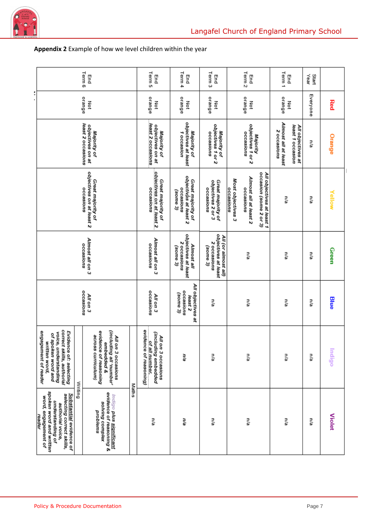

# **Appendix 2** Example of how we level children within the year

| Term 6<br>End                                                                                                                                                                                                                                                     | Term <sub>5</sub><br>End                                                                 | Term 4<br>End                                                              | Term <sub>3</sub><br>End                                              | Term <sub>2</sub><br>End                                                                                                    | Term 1<br>End                                                               | Start<br>Year |               |
|-------------------------------------------------------------------------------------------------------------------------------------------------------------------------------------------------------------------------------------------------------------------|------------------------------------------------------------------------------------------|----------------------------------------------------------------------------|-----------------------------------------------------------------------|-----------------------------------------------------------------------------------------------------------------------------|-----------------------------------------------------------------------------|---------------|---------------|
| orange<br>Σ                                                                                                                                                                                                                                                       | orange<br>Not                                                                            | остапде<br>Not                                                             | остапде<br>증                                                          | orange<br>Not                                                                                                               | orange<br>Š                                                                 | Everyone      | Red           |
| least 2 occasions<br>objectives on at<br>Majority of                                                                                                                                                                                                              | least 2 occasions<br>objectives on at<br>Majority of                                     | objectives at least<br>Majority of<br>1 occasion                           | objectives 1 or 2<br>Majority of<br>occasions                         | objectives 1 or 2<br>occasions<br>Majority                                                                                  | Almost all at least<br>least 1 occasion<br>All objectives at<br>2 occasions | π/a           | Orange        |
| objectives on at least 2<br>Great majority of<br>occasions                                                                                                                                                                                                        | objectives on at least 2.<br>Great majority of<br>occasions                              | objectivas at least 2<br>Great majority of<br><b>0CCBSIONS</b><br>(E əmos) | Great majority of<br>objectives 2 or 3<br>occasions                   | occasion (some 2 or 3)<br>All objectives at least 1<br>Almost all at least 2<br>Most objectives 3<br>occasions<br>occasions | n/a                                                                         | n/a           | Yellow        |
| Almost all on 3<br>occasions                                                                                                                                                                                                                                      | Almost all on 3<br><b>0CCBS/O/1S</b>                                                     | objectives at least<br>2 occasions<br>Almost all<br>(some 3)               | objectives at least<br>All (or almost all)<br>2 occasions<br>(E amos) | n/a                                                                                                                         | n/a                                                                         | Ρľa           | Green         |
| <b>0CCBSIONS</b><br>All on 3                                                                                                                                                                                                                                      | <b>0CC8S/ONS</b><br>All on 3                                                             | All objectives at<br><b>0CCaSiONS</b><br>(Some 3)<br>least <sub>2</sub>    | n/a                                                                   | Ρľā                                                                                                                         | n/a                                                                         | Ρľa           | Blue          |
| correct skills, authorial<br>(including all 'number'<br>evidence of reasoning<br>engagement of reader<br>Evidence of: selecting<br>voice, understanding<br>of spoken word and<br>across curriculum)<br>All on<br>written word,<br>embedded &<br>3 occasions       | of all number.<br>evidence of reasoning)<br>(including embedded<br>All on<br>3 occasions | n/a                                                                        | n/a                                                                   | ηa                                                                                                                          | n/a                                                                         | n/a           | lndigo        |
| Writing<br>Maths<br>spoken word and written<br>evidence of reasoning &<br>Substantial evidence of<br>selecting correct skills,<br>Indigo plus siqnificant<br>word, engagement of<br>understanding of<br>solving complex<br>authorial voice,<br>problems<br>reader | n/a                                                                                      | n/a                                                                        | n/a                                                                   | ηa                                                                                                                          | n/a                                                                         | n/a           | <b>Violet</b> |